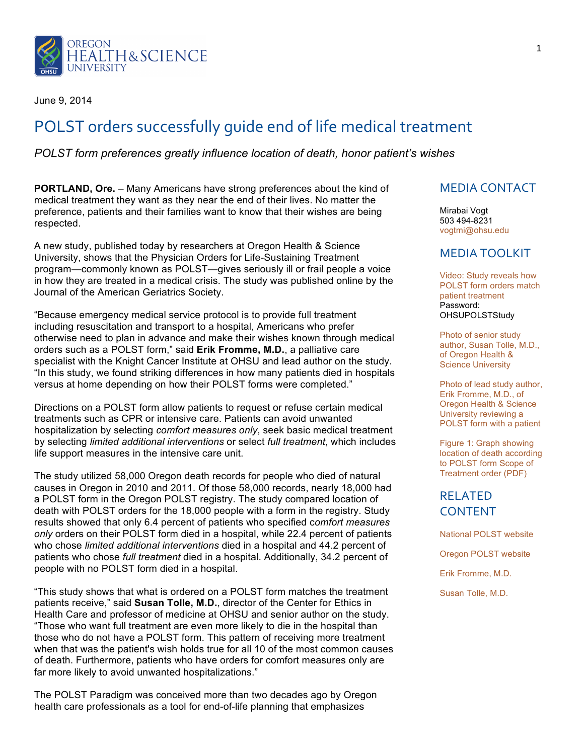

June 9, 2014

# POLST orders successfully quide end of life medical treatment

#### *POLST form preferences greatly influence location of death, honor patient's wishes*

**PORTLAND, Ore.** – Many Americans have strong preferences about the kind of medical treatment they want as they near the end of their lives. No matter the preference, patients and their families want to know that their wishes are being respected.

A new study, published today by researchers at Oregon Health & Science University, shows that the Physician Orders for Life-Sustaining Treatment program—commonly known as POLST—gives seriously ill or frail people a voice in how they are treated in a medical crisis. The study was published online by the Journal of the American Geriatrics Society.

"Because emergency medical service protocol is to provide full treatment including resuscitation and transport to a hospital, Americans who prefer otherwise need to plan in advance and make their wishes known through medical orders such as a POLST form," said **Erik Fromme, M.D.**, a palliative care specialist with the Knight Cancer Institute at OHSU and lead author on the study. "In this study, we found striking differences in how many patients died in hospitals versus at home depending on how their POLST forms were completed."

Directions on a POLST form allow patients to request or refuse certain medical treatments such as CPR or intensive care. Patients can avoid unwanted hospitalization by selecting *comfort measures only*, seek basic medical treatment by selecting *limited additional interventions* or select *full treatment*, which includes life support measures in the intensive care unit.

The study utilized 58,000 Oregon death records for people who died of natural causes in Oregon in 2010 and 2011. Of those 58,000 records, nearly 18,000 had a POLST form in the Oregon POLST registry. The study compared location of death with POLST orders for the 18,000 people with a form in the registry. Study results showed that only 6.4 percent of patients who specified c*omfort measures only* orders on their POLST form died in a hospital, while 22.4 percent of patients who chose *limited additional interventions* died in a hospital and 44.2 percent of patients who chose *full treatment* died in a hospital. Additionally, 34.2 percent of people with no POLST form died in a hospital.

"This study shows that what is ordered on a POLST form matches the treatment patients receive," said **Susan Tolle, M.D.**, director of the Center for Ethics in Health Care and professor of medicine at OHSU and senior author on the study. "Those who want full treatment are even more likely to die in the hospital than those who do not have a POLST form. This pattern of receiving more treatment when that was the patient's wish holds true for all 10 of the most common causes of death. Furthermore, patients who have orders for comfort measures only are far more likely to avoid unwanted hospitalizations."

The POLST Paradigm was conceived more than two decades ago by Oregon health care professionals as a tool for end-of-life planning that emphasizes

#### **MEDIA CONTACT**

Mirabai Vogt 503 494-8231 vogtmi@ohsu.edu

#### MEDIA TOOLKIT

Video: Study reveals how POLST form orders match patient treatment Password: **OHSUPOLSTStudy** 

Photo of senior study author, Susan Tolle, M.D., of Oregon Health & Science University

Photo of lead study author, Erik Fromme, M.D., of Oregon Health & Science University reviewing a POLST form with a patient

Figure 1: Graph showing location of death according to POLST form Scope of Treatment order (PDF)

## RELATED CONTENT

National POLST website

Oregon POLST website

Erik Fromme, M.D.

Susan Tolle, M.D.